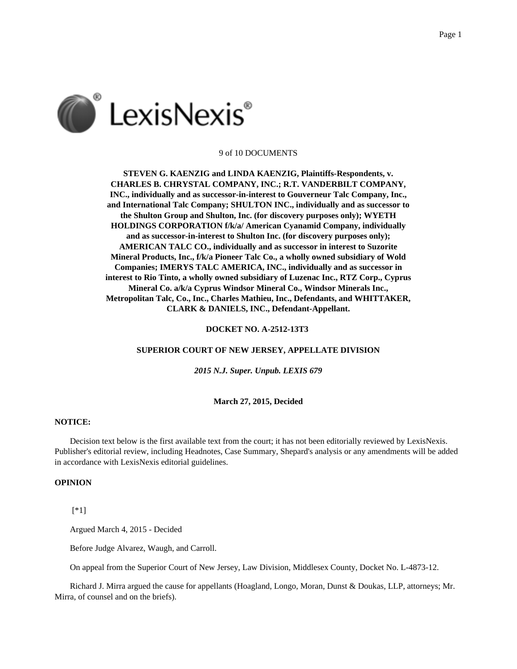

## 9 of 10 DOCUMENTS

**STEVEN G. KAENZIG and LINDA KAENZIG, Plaintiffs-Respondents, v. CHARLES B. CHRYSTAL COMPANY, INC.; R.T. VANDERBILT COMPANY, INC., individually and as successor-in-interest to Gouverneur Talc Company, Inc., and International Talc Company; SHULTON INC., individually and as successor to the Shulton Group and Shulton, Inc. (for discovery purposes only); WYETH HOLDINGS CORPORATION f/k/a/ American Cyanamid Company, individually and as successor-in-interest to Shulton Inc. (for discovery purposes only); AMERICAN TALC CO., individually and as successor in interest to Suzorite Mineral Products, Inc., f/k/a Pioneer Talc Co., a wholly owned subsidiary of Wold Companies; IMERYS TALC AMERICA, INC., individually and as successor in interest to Rio Tinto, a wholly owned subsidiary of Luzenac Inc., RTZ Corp., Cyprus Mineral Co. a/k/a Cyprus Windsor Mineral Co., Windsor Minerals Inc., Metropolitan Talc, Co., Inc., Charles Mathieu, Inc., Defendants, and WHITTAKER, CLARK & DANIELS, INC., Defendant-Appellant.**

## **DOCKET NO. A-2512-13T3**

#### **SUPERIOR COURT OF NEW JERSEY, APPELLATE DIVISION**

*2015 N.J. Super. Unpub. LEXIS 679*

## **March 27, 2015, Decided**

## **NOTICE:**

Decision text below is the first available text from the court; it has not been editorially reviewed by LexisNexis. Publisher's editorial review, including Headnotes, Case Summary, Shepard's analysis or any amendments will be added in accordance with LexisNexis editorial guidelines.

# **OPINION**

[\*1]

Argued March 4, 2015 - Decided

Before Judge Alvarez, Waugh, and Carroll.

On appeal from the Superior Court of New Jersey, Law Division, Middlesex County, Docket No. L-4873-12.

Richard J. Mirra argued the cause for appellants (Hoagland, Longo, Moran, Dunst & Doukas, LLP, attorneys; Mr. Mirra, of counsel and on the briefs).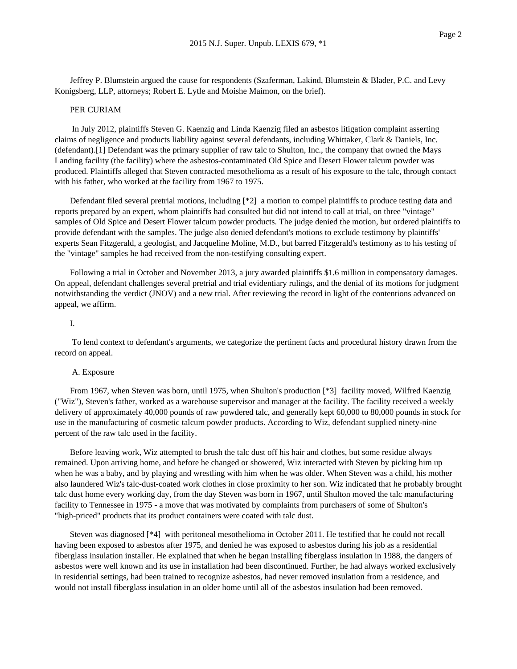Jeffrey P. Blumstein argued the cause for respondents (Szaferman, Lakind, Blumstein & Blader, P.C. and Levy Konigsberg, LLP, attorneys; Robert E. Lytle and Moishe Maimon, on the brief).

### PER CURIAM

In July 2012, plaintiffs Steven G. Kaenzig and Linda Kaenzig filed an asbestos litigation complaint asserting claims of negligence and products liability against several defendants, including Whittaker, Clark & Daniels, Inc. (defendant).[1] Defendant was the primary supplier of raw talc to Shulton, Inc., the company that owned the Mays Landing facility (the facility) where the asbestos-contaminated Old Spice and Desert Flower talcum powder was produced. Plaintiffs alleged that Steven contracted mesothelioma as a result of his exposure to the talc, through contact with his father, who worked at the facility from 1967 to 1975.

Defendant filed several pretrial motions, including [\*2] a motion to compel plaintiffs to produce testing data and reports prepared by an expert, whom plaintiffs had consulted but did not intend to call at trial, on three "vintage" samples of Old Spice and Desert Flower talcum powder products. The judge denied the motion, but ordered plaintiffs to provide defendant with the samples. The judge also denied defendant's motions to exclude testimony by plaintiffs' experts Sean Fitzgerald, a geologist, and Jacqueline Moline, M.D., but barred Fitzgerald's testimony as to his testing of the "vintage" samples he had received from the non-testifying consulting expert.

Following a trial in October and November 2013, a jury awarded plaintiffs \$1.6 million in compensatory damages. On appeal, defendant challenges several pretrial and trial evidentiary rulings, and the denial of its motions for judgment notwithstanding the verdict (JNOV) and a new trial. After reviewing the record in light of the contentions advanced on appeal, we affirm.

# I.

To lend context to defendant's arguments, we categorize the pertinent facts and procedural history drawn from the record on appeal.

## A. Exposure

From 1967, when Steven was born, until 1975, when Shulton's production [\*3] facility moved, Wilfred Kaenzig ("Wiz"), Steven's father, worked as a warehouse supervisor and manager at the facility. The facility received a weekly delivery of approximately 40,000 pounds of raw powdered talc, and generally kept 60,000 to 80,000 pounds in stock for use in the manufacturing of cosmetic talcum powder products. According to Wiz, defendant supplied ninety-nine percent of the raw talc used in the facility.

Before leaving work, Wiz attempted to brush the talc dust off his hair and clothes, but some residue always remained. Upon arriving home, and before he changed or showered, Wiz interacted with Steven by picking him up when he was a baby, and by playing and wrestling with him when he was older. When Steven was a child, his mother also laundered Wiz's talc-dust-coated work clothes in close proximity to her son. Wiz indicated that he probably brought talc dust home every working day, from the day Steven was born in 1967, until Shulton moved the talc manufacturing facility to Tennessee in 1975 - a move that was motivated by complaints from purchasers of some of Shulton's "high-priced" products that its product containers were coated with talc dust.

Steven was diagnosed [\*4] with peritoneal mesothelioma in October 2011. He testified that he could not recall having been exposed to asbestos after 1975, and denied he was exposed to asbestos during his job as a residential fiberglass insulation installer. He explained that when he began installing fiberglass insulation in 1988, the dangers of asbestos were well known and its use in installation had been discontinued. Further, he had always worked exclusively in residential settings, had been trained to recognize asbestos, had never removed insulation from a residence, and would not install fiberglass insulation in an older home until all of the asbestos insulation had been removed.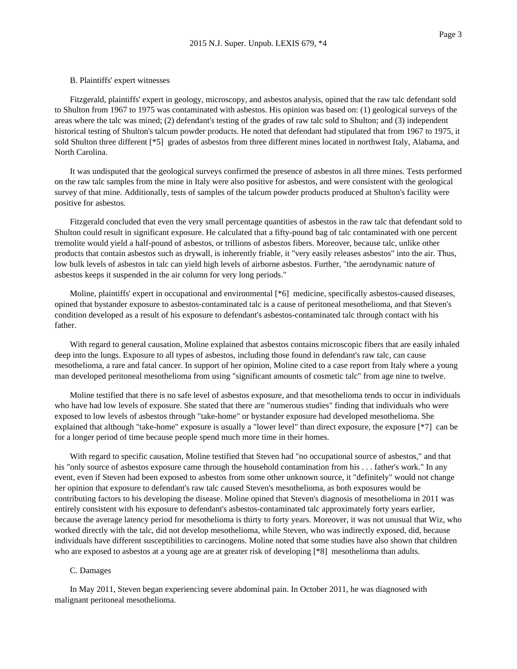## B. Plaintiffs' expert witnesses

Fitzgerald, plaintiffs' expert in geology, microscopy, and asbestos analysis, opined that the raw talc defendant sold to Shulton from 1967 to 1975 was contaminated with asbestos. His opinion was based on: (1) geological surveys of the areas where the talc was mined; (2) defendant's testing of the grades of raw talc sold to Shulton; and (3) independent historical testing of Shulton's talcum powder products. He noted that defendant had stipulated that from 1967 to 1975, it sold Shulton three different [\*5] grades of asbestos from three different mines located in northwest Italy, Alabama, and North Carolina.

It was undisputed that the geological surveys confirmed the presence of asbestos in all three mines. Tests performed on the raw talc samples from the mine in Italy were also positive for asbestos, and were consistent with the geological survey of that mine. Additionally, tests of samples of the talcum powder products produced at Shulton's facility were positive for asbestos.

Fitzgerald concluded that even the very small percentage quantities of asbestos in the raw talc that defendant sold to Shulton could result in significant exposure. He calculated that a fifty-pound bag of talc contaminated with one percent tremolite would yield a half-pound of asbestos, or trillions of asbestos fibers. Moreover, because talc, unlike other products that contain asbestos such as drywall, is inherently friable, it "very easily releases asbestos" into the air. Thus, low bulk levels of asbestos in talc can yield high levels of airborne asbestos. Further, "the aerodynamic nature of asbestos keeps it suspended in the air column for very long periods."

Moline, plaintiffs' expert in occupational and environmental [\*6] medicine, specifically asbestos-caused diseases, opined that bystander exposure to asbestos-contaminated talc is a cause of peritoneal mesothelioma, and that Steven's condition developed as a result of his exposure to defendant's asbestos-contaminated talc through contact with his father.

With regard to general causation, Moline explained that asbestos contains microscopic fibers that are easily inhaled deep into the lungs. Exposure to all types of asbestos, including those found in defendant's raw talc, can cause mesothelioma, a rare and fatal cancer. In support of her opinion, Moline cited to a case report from Italy where a young man developed peritoneal mesothelioma from using "significant amounts of cosmetic talc" from age nine to twelve.

Moline testified that there is no safe level of asbestos exposure, and that mesothelioma tends to occur in individuals who have had low levels of exposure. She stated that there are "numerous studies" finding that individuals who were exposed to low levels of asbestos through "take-home" or bystander exposure had developed mesothelioma. She explained that although "take-home" exposure is usually a "lower level" than direct exposure, the exposure [\*7] can be for a longer period of time because people spend much more time in their homes.

With regard to specific causation, Moline testified that Steven had "no occupational source of asbestos," and that his "only source of asbestos exposure came through the household contamination from his . . . father's work." In any event, even if Steven had been exposed to asbestos from some other unknown source, it "definitely" would not change her opinion that exposure to defendant's raw talc caused Steven's mesothelioma, as both exposures would be contributing factors to his developing the disease. Moline opined that Steven's diagnosis of mesothelioma in 2011 was entirely consistent with his exposure to defendant's asbestos-contaminated talc approximately forty years earlier, because the average latency period for mesothelioma is thirty to forty years. Moreover, it was not unusual that Wiz, who worked directly with the talc, did not develop mesothelioma, while Steven, who was indirectly exposed, did, because individuals have different susceptibilities to carcinogens. Moline noted that some studies have also shown that children who are exposed to asbestos at a young age are at greater risk of developing [\*8] mesothelioma than adults.

## C. Damages

In May 2011, Steven began experiencing severe abdominal pain. In October 2011, he was diagnosed with malignant peritoneal mesothelioma.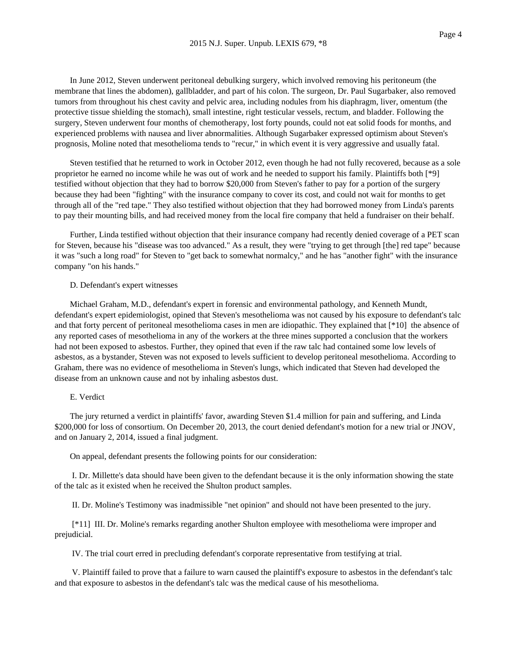In June 2012, Steven underwent peritoneal debulking surgery, which involved removing his peritoneum (the membrane that lines the abdomen), gallbladder, and part of his colon. The surgeon, Dr. Paul Sugarbaker, also removed tumors from throughout his chest cavity and pelvic area, including nodules from his diaphragm, liver, omentum (the protective tissue shielding the stomach), small intestine, right testicular vessels, rectum, and bladder. Following the surgery, Steven underwent four months of chemotherapy, lost forty pounds, could not eat solid foods for months, and experienced problems with nausea and liver abnormalities. Although Sugarbaker expressed optimism about Steven's prognosis, Moline noted that mesothelioma tends to "recur," in which event it is very aggressive and usually fatal.

Steven testified that he returned to work in October 2012, even though he had not fully recovered, because as a sole proprietor he earned no income while he was out of work and he needed to support his family. Plaintiffs both [\*9] testified without objection that they had to borrow \$20,000 from Steven's father to pay for a portion of the surgery because they had been "fighting" with the insurance company to cover its cost, and could not wait for months to get through all of the "red tape." They also testified without objection that they had borrowed money from Linda's parents to pay their mounting bills, and had received money from the local fire company that held a fundraiser on their behalf.

Further, Linda testified without objection that their insurance company had recently denied coverage of a PET scan for Steven, because his "disease was too advanced." As a result, they were "trying to get through [the] red tape" because it was "such a long road" for Steven to "get back to somewhat normalcy," and he has "another fight" with the insurance company "on his hands."

## D. Defendant's expert witnesses

Michael Graham, M.D., defendant's expert in forensic and environmental pathology, and Kenneth Mundt, defendant's expert epidemiologist, opined that Steven's mesothelioma was not caused by his exposure to defendant's talc and that forty percent of peritoneal mesothelioma cases in men are idiopathic. They explained that [\*10] the absence of any reported cases of mesothelioma in any of the workers at the three mines supported a conclusion that the workers had not been exposed to asbestos. Further, they opined that even if the raw talc had contained some low levels of asbestos, as a bystander, Steven was not exposed to levels sufficient to develop peritoneal mesothelioma. According to Graham, there was no evidence of mesothelioma in Steven's lungs, which indicated that Steven had developed the disease from an unknown cause and not by inhaling asbestos dust.

#### E. Verdict

The jury returned a verdict in plaintiffs' favor, awarding Steven \$1.4 million for pain and suffering, and Linda \$200,000 for loss of consortium. On December 20, 2013, the court denied defendant's motion for a new trial or JNOV, and on January 2, 2014, issued a final judgment.

On appeal, defendant presents the following points for our consideration:

I. Dr. Millette's data should have been given to the defendant because it is the only information showing the state of the talc as it existed when he received the Shulton product samples.

II. Dr. Moline's Testimony was inadmissible "net opinion" and should not have been presented to the jury.

[\*11] III. Dr. Moline's remarks regarding another Shulton employee with mesothelioma were improper and prejudicial.

IV. The trial court erred in precluding defendant's corporate representative from testifying at trial.

V. Plaintiff failed to prove that a failure to warn caused the plaintiff's exposure to asbestos in the defendant's talc and that exposure to asbestos in the defendant's talc was the medical cause of his mesothelioma.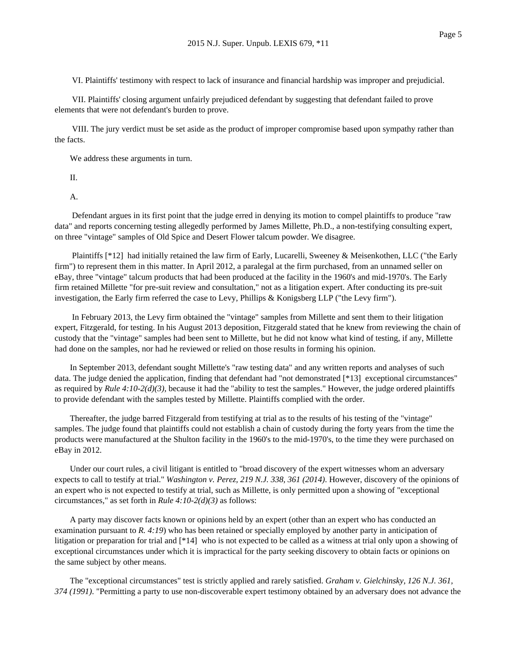VI. Plaintiffs' testimony with respect to lack of insurance and financial hardship was improper and prejudicial.

VII. Plaintiffs' closing argument unfairly prejudiced defendant by suggesting that defendant failed to prove elements that were not defendant's burden to prove.

VIII. The jury verdict must be set aside as the product of improper compromise based upon sympathy rather than the facts.

We address these arguments in turn.

II.

A.

Defendant argues in its first point that the judge erred in denying its motion to compel plaintiffs to produce "raw data" and reports concerning testing allegedly performed by James Millette, Ph.D., a non-testifying consulting expert, on three "vintage" samples of Old Spice and Desert Flower talcum powder. We disagree.

Plaintiffs [\*12] had initially retained the law firm of Early, Lucarelli, Sweeney & Meisenkothen, LLC ("the Early firm") to represent them in this matter. In April 2012, a paralegal at the firm purchased, from an unnamed seller on eBay, three "vintage" talcum products that had been produced at the facility in the 1960's and mid-1970's. The Early firm retained Millette "for pre-suit review and consultation," not as a litigation expert. After conducting its pre-suit investigation, the Early firm referred the case to Levy, Phillips & Konigsberg LLP ("the Levy firm").

In February 2013, the Levy firm obtained the "vintage" samples from Millette and sent them to their litigation expert, Fitzgerald, for testing. In his August 2013 deposition, Fitzgerald stated that he knew from reviewing the chain of custody that the "vintage" samples had been sent to Millette, but he did not know what kind of testing, if any, Millette had done on the samples, nor had he reviewed or relied on those results in forming his opinion.

In September 2013, defendant sought Millette's "raw testing data" and any written reports and analyses of such data. The judge denied the application, finding that defendant had "not demonstrated [\*13] exceptional circumstances" as required by *Rule 4:10-2(d)(3)*, because it had the "ability to test the samples." However, the judge ordered plaintiffs to provide defendant with the samples tested by Millette. Plaintiffs complied with the order.

Thereafter, the judge barred Fitzgerald from testifying at trial as to the results of his testing of the "vintage" samples. The judge found that plaintiffs could not establish a chain of custody during the forty years from the time the products were manufactured at the Shulton facility in the 1960's to the mid-1970's, to the time they were purchased on eBay in 2012.

Under our court rules, a civil litigant is entitled to "broad discovery of the expert witnesses whom an adversary expects to call to testify at trial." *Washington v. Perez, 219 N.J. 338, 361 (2014)*. However, discovery of the opinions of an expert who is not expected to testify at trial, such as Millette, is only permitted upon a showing of "exceptional circumstances," as set forth in *Rule 4:10-2(d)(3)* as follows:

A party may discover facts known or opinions held by an expert (other than an expert who has conducted an examination pursuant to *R. 4:19*) who has been retained or specially employed by another party in anticipation of litigation or preparation for trial and [\*14] who is not expected to be called as a witness at trial only upon a showing of exceptional circumstances under which it is impractical for the party seeking discovery to obtain facts or opinions on the same subject by other means.

The "exceptional circumstances" test is strictly applied and rarely satisfied. *Graham v. Gielchinsky, 126 N.J. 361, 374 (1991)*. "Permitting a party to use non-discoverable expert testimony obtained by an adversary does not advance the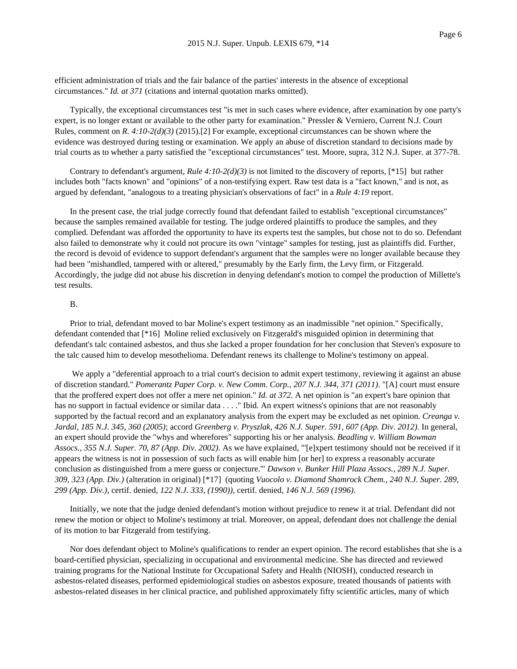efficient administration of trials and the fair balance of the parties' interests in the absence of exceptional circumstances." *Id. at 371* (citations and internal quotation marks omitted).

Typically, the exceptional circumstances test "is met in such cases where evidence, after examination by one party's expert, is no longer extant or available to the other party for examination." Pressler & Verniero, Current N.J. Court Rules, comment on *R. 4:10-2(d)(3)* (2015).[2] For example, exceptional circumstances can be shown where the evidence was destroyed during testing or examination. We apply an abuse of discretion standard to decisions made by trial courts as to whether a party satisfied the "exceptional circumstances" test. Moore, supra, 312 N.J. Super. at 377-78.

Contrary to defendant's argument, *Rule 4:10-2(d)(3)* is not limited to the discovery of reports, [\*15] but rather includes both "facts known" and "opinions" of a non-testifying expert. Raw test data is a "fact known," and is not, as argued by defendant, "analogous to a treating physician's observations of fact" in a *Rule 4:19* report.

In the present case, the trial judge correctly found that defendant failed to establish "exceptional circumstances" because the samples remained available for testing. The judge ordered plaintiffs to produce the samples, and they complied. Defendant was afforded the opportunity to have its experts test the samples, but chose not to do so. Defendant also failed to demonstrate why it could not procure its own "vintage" samples for testing, just as plaintiffs did. Further, the record is devoid of evidence to support defendant's argument that the samples were no longer available because they had been "mishandled, tampered with or altered," presumably by the Early firm, the Levy firm, or Fitzgerald. Accordingly, the judge did not abuse his discretion in denying defendant's motion to compel the production of Millette's test results.

#### B.

Prior to trial, defendant moved to bar Moline's expert testimony as an inadmissible "net opinion." Specifically, defendant contended that [\*16] Moline relied exclusively on Fitzgerald's misguided opinion in determining that defendant's talc contained asbestos, and thus she lacked a proper foundation for her conclusion that Steven's exposure to the talc caused him to develop mesothelioma. Defendant renews its challenge to Moline's testimony on appeal.

We apply a "deferential approach to a trial court's decision to admit expert testimony, reviewing it against an abuse of discretion standard." *Pomerantz Paper Corp. v. New Comm. Corp., 207 N.J. 344, 371 (2011)*. "[A] court must ensure that the proffered expert does not offer a mere net opinion." *Id. at 372*. A net opinion is "an expert's bare opinion that has no support in factual evidence or similar data . . . . " Ibid. An expert witness's opinions that are not reasonably supported by the factual record and an explanatory analysis from the expert may be excluded as net opinion. *Creanga v. Jardal, 185 N.J. 345, 360 (2005)*; accord *Greenberg v. Pryszlak, 426 N.J. Super. 591, 607 (App. Div. 2012)*. In general, an expert should provide the "whys and wherefores" supporting his or her analysis. *Beadling v. William Bowman Assocs., 355 N.J. Super. 70, 87 (App. Div. 2002)*. As we have explained, "'[e]xpert testimony should not be received if it appears the witness is not in possession of such facts as will enable him [or her] to express a reasonably accurate conclusion as distinguished from a mere guess or conjecture.'" *Dawson v. Bunker Hill Plaza Assocs., 289 N.J. Super. 309, 323 (App. Div.)* (alteration in original) [\*17] (quoting *Vuocolo v. Diamond Shamrock Chem., 240 N.J. Super. 289, 299 (App. Div.)*, certif. denied, *122 N.J. 333, (1990))*, certif. denied, *146 N.J. 569 (1996)*.

Initially, we note that the judge denied defendant's motion without prejudice to renew it at trial. Defendant did not renew the motion or object to Moline's testimony at trial. Moreover, on appeal, defendant does not challenge the denial of its motion to bar Fitzgerald from testifying.

Nor does defendant object to Moline's qualifications to render an expert opinion. The record establishes that she is a board-certified physician, specializing in occupational and environmental medicine. She has directed and reviewed training programs for the National Institute for Occupational Safety and Health (NIOSH), conducted research in asbestos-related diseases, performed epidemiological studies on asbestos exposure, treated thousands of patients with asbestos-related diseases in her clinical practice, and published approximately fifty scientific articles, many of which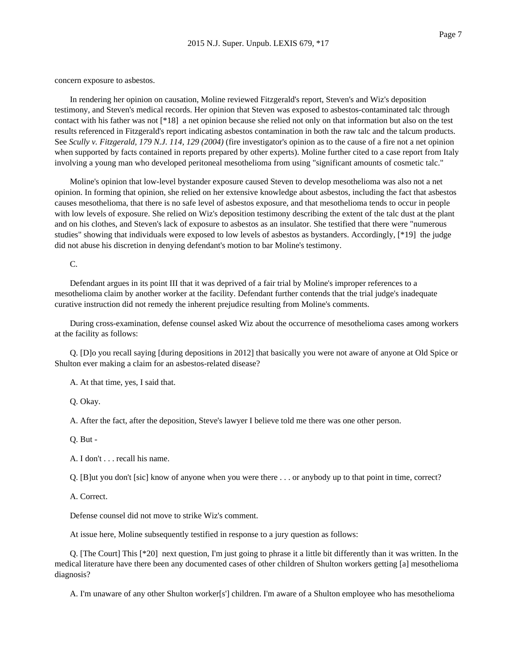concern exposure to asbestos.

In rendering her opinion on causation, Moline reviewed Fitzgerald's report, Steven's and Wiz's deposition testimony, and Steven's medical records. Her opinion that Steven was exposed to asbestos-contaminated talc through contact with his father was not [\*18] a net opinion because she relied not only on that information but also on the test results referenced in Fitzgerald's report indicating asbestos contamination in both the raw talc and the talcum products. See *Scully v. Fitzgerald, 179 N.J. 114, 129 (2004)* (fire investigator's opinion as to the cause of a fire not a net opinion when supported by facts contained in reports prepared by other experts). Moline further cited to a case report from Italy involving a young man who developed peritoneal mesothelioma from using "significant amounts of cosmetic talc."

Moline's opinion that low-level bystander exposure caused Steven to develop mesothelioma was also not a net opinion. In forming that opinion, she relied on her extensive knowledge about asbestos, including the fact that asbestos causes mesothelioma, that there is no safe level of asbestos exposure, and that mesothelioma tends to occur in people with low levels of exposure. She relied on Wiz's deposition testimony describing the extent of the talc dust at the plant and on his clothes, and Steven's lack of exposure to asbestos as an insulator. She testified that there were "numerous studies" showing that individuals were exposed to low levels of asbestos as bystanders. Accordingly, [\*19] the judge did not abuse his discretion in denying defendant's motion to bar Moline's testimony.

C.

Defendant argues in its point III that it was deprived of a fair trial by Moline's improper references to a mesothelioma claim by another worker at the facility. Defendant further contends that the trial judge's inadequate curative instruction did not remedy the inherent prejudice resulting from Moline's comments.

During cross-examination, defense counsel asked Wiz about the occurrence of mesothelioma cases among workers at the facility as follows:

Q. [D]o you recall saying [during depositions in 2012] that basically you were not aware of anyone at Old Spice or Shulton ever making a claim for an asbestos-related disease?

A. At that time, yes, I said that.

Q. Okay.

A. After the fact, after the deposition, Steve's lawyer I believe told me there was one other person.

Q. But -

A. I don't . . . recall his name.

Q. [B]ut you don't [sic] know of anyone when you were there . . . or anybody up to that point in time, correct?

A. Correct.

Defense counsel did not move to strike Wiz's comment.

At issue here, Moline subsequently testified in response to a jury question as follows:

Q. [The Court] This [\*20] next question, I'm just going to phrase it a little bit differently than it was written. In the medical literature have there been any documented cases of other children of Shulton workers getting [a] mesothelioma diagnosis?

A. I'm unaware of any other Shulton worker[s'] children. I'm aware of a Shulton employee who has mesothelioma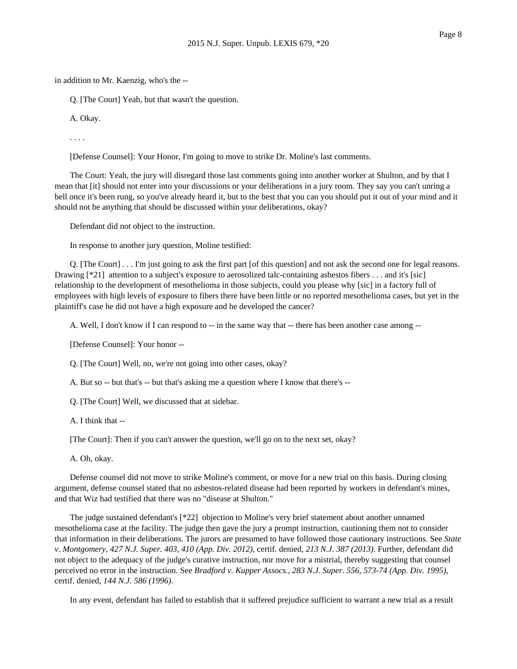Q. [The Court] Yeah, but that wasn't the question.

A. Okay.

. . . .

[Defense Counsel]: Your Honor, I'm going to move to strike Dr. Moline's last comments.

The Court: Yeah, the jury will disregard those last comments going into another worker at Shulton, and by that I mean that [it] should not enter into your discussions or your deliberations in a jury room. They say you can't unring a bell once it's been rung, so you've already heard it, but to the best that you can you should put it out of your mind and it should not be anything that should be discussed within your deliberations, okay?

Defendant did not object to the instruction.

In response to another jury question, Moline testified:

Q. [The Court] . . . I'm just going to ask the first part [of this question] and not ask the second one for legal reasons. Drawing [\*21] attention to a subject's exposure to aerosolized talc-containing asbestos fibers . . . and it's [sic] relationship to the development of mesothelioma in those subjects, could you please why [sic] in a factory full of employees with high levels of exposure to fibers there have been little or no reported mesothelioma cases, but yet in the plaintiff's case he did not have a high exposure and he developed the cancer?

A. Well, I don't know if I can respond to -- in the same way that -- there has been another case among --

[Defense Counsel]: Your honor --

Q. [The Court] Well, no, we're not going into other cases, okay?

A. But so -- but that's -- but that's asking me a question where I know that there's --

Q. [The Court] Well, we discussed that at sidebar.

A. I think that --

[The Court]: Then if you can't answer the question, we'll go on to the next set, okay?

A. Oh, okay.

Defense counsel did not move to strike Moline's comment, or move for a new trial on this basis. During closing argument, defense counsel stated that no asbestos-related disease had been reported by workers in defendant's mines, and that Wiz had testified that there was no "disease at Shulton."

The judge sustained defendant's [\*22] objection to Moline's very brief statement about another unnamed mesothelioma case at the facility. The judge then gave the jury a prompt instruction, cautioning them not to consider that information in their deliberations. The jurors are presumed to have followed those cautionary instructions. See *State v. Montgomery, 427 N.J. Super. 403, 410 (App. Div. 2012)*, certif. denied, *213 N.J. 387 (2013)*. Further, defendant did not object to the adequacy of the judge's curative instruction, nor move for a mistrial, thereby suggesting that counsel perceived no error in the instruction. See *Bradford v. Kupper Assocs., 283 N.J. Super. 556, 573-74 (App. Div. 1995)*, certif. denied, *144 N.J. 586 (1996)*.

In any event, defendant has failed to establish that it suffered prejudice sufficient to warrant a new trial as a result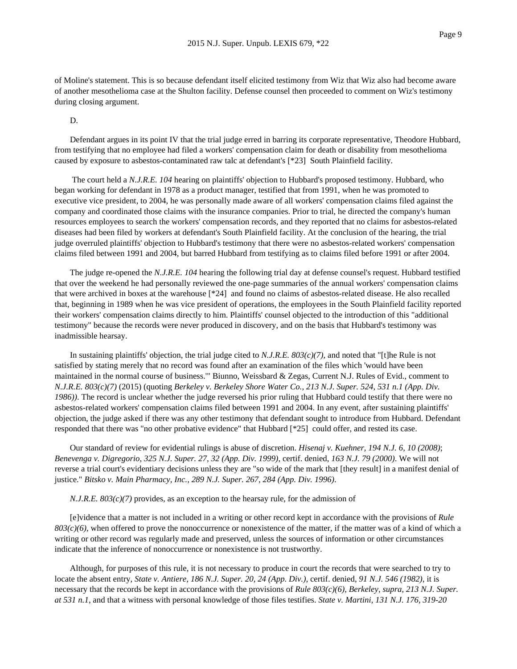of Moline's statement. This is so because defendant itself elicited testimony from Wiz that Wiz also had become aware of another mesothelioma case at the Shulton facility. Defense counsel then proceeded to comment on Wiz's testimony during closing argument.

D.

Defendant argues in its point IV that the trial judge erred in barring its corporate representative, Theodore Hubbard, from testifying that no employee had filed a workers' compensation claim for death or disability from mesothelioma caused by exposure to asbestos-contaminated raw talc at defendant's [\*23] South Plainfield facility.

The court held a *N.J.R.E. 104* hearing on plaintiffs' objection to Hubbard's proposed testimony. Hubbard, who began working for defendant in 1978 as a product manager, testified that from 1991, when he was promoted to executive vice president, to 2004, he was personally made aware of all workers' compensation claims filed against the company and coordinated those claims with the insurance companies. Prior to trial, he directed the company's human resources employees to search the workers' compensation records, and they reported that no claims for asbestos-related diseases had been filed by workers at defendant's South Plainfield facility. At the conclusion of the hearing, the trial judge overruled plaintiffs' objection to Hubbard's testimony that there were no asbestos-related workers' compensation claims filed between 1991 and 2004, but barred Hubbard from testifying as to claims filed before 1991 or after 2004.

The judge re-opened the *N.J.R.E. 104* hearing the following trial day at defense counsel's request. Hubbard testified that over the weekend he had personally reviewed the one-page summaries of the annual workers' compensation claims that were archived in boxes at the warehouse [\*24] and found no claims of asbestos-related disease. He also recalled that, beginning in 1989 when he was vice president of operations, the employees in the South Plainfield facility reported their workers' compensation claims directly to him. Plaintiffs' counsel objected to the introduction of this "additional testimony" because the records were never produced in discovery, and on the basis that Hubbard's testimony was inadmissible hearsay.

In sustaining plaintiffs' objection, the trial judge cited to *N.J.R.E. 803(c)(7)*, and noted that "[t]he Rule is not satisfied by stating merely that no record was found after an examination of the files which 'would have been maintained in the normal course of business.'" Biunno, Weissbard & Zegas, Current N.J. Rules of Evid., comment to *N.J.R.E. 803(c)(7)* (2015) (quoting *Berkeley v. Berkeley Shore Water Co., 213 N.J. Super. 524, 531 n.1 (App. Div. 1986))*. The record is unclear whether the judge reversed his prior ruling that Hubbard could testify that there were no asbestos-related workers' compensation claims filed between 1991 and 2004. In any event, after sustaining plaintiffs' objection, the judge asked if there was any other testimony that defendant sought to introduce from Hubbard. Defendant responded that there was "no other probative evidence" that Hubbard [\*25] could offer, and rested its case.

Our standard of review for evidential rulings is abuse of discretion. *Hisenaj v. Kuehner, 194 N.J. 6, 10 (2008)*; *Benevenga v. Digregorio, 325 N.J. Super. 27, 32 (App. Div. 1999)*, certif. denied, *163 N.J. 79 (2000)*. We will not reverse a trial court's evidentiary decisions unless they are "so wide of the mark that [they result] in a manifest denial of justice." *Bitsko v. Main Pharmacy, Inc., 289 N.J. Super. 267, 284 (App. Div. 1996)*.

*N.J.R.E. 803(c)(7)* provides, as an exception to the hearsay rule, for the admission of

[e]vidence that a matter is not included in a writing or other record kept in accordance with the provisions of *Rule 803(c)(6)*, when offered to prove the nonoccurrence or nonexistence of the matter, if the matter was of a kind of which a writing or other record was regularly made and preserved, unless the sources of information or other circumstances indicate that the inference of nonoccurrence or nonexistence is not trustworthy.

Although, for purposes of this rule, it is not necessary to produce in court the records that were searched to try to locate the absent entry, *State v. Antiere, 186 N.J. Super. 20, 24 (App. Div.)*, certif. denied, *91 N.J. 546 (1982)*, it is necessary that the records be kept in accordance with the provisions of *Rule 803(c)(6)*, *Berkeley, supra, 213 N.J. Super. at 531 n.1*, and that a witness with personal knowledge of those files testifies. *State v. Martini, 131 N.J. 176, 319-20*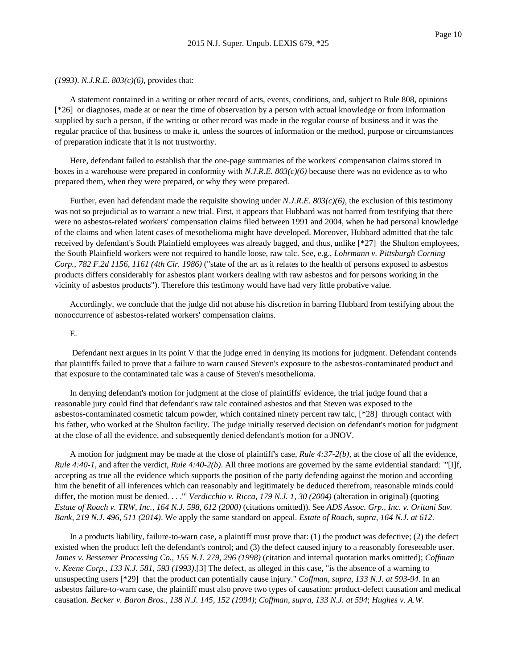*(1993)*. *N.J.R.E. 803(c)(6)*, provides that:

A statement contained in a writing or other record of acts, events, conditions, and, subject to Rule 808, opinions [\*26] or diagnoses, made at or near the time of observation by a person with actual knowledge or from information supplied by such a person, if the writing or other record was made in the regular course of business and it was the regular practice of that business to make it, unless the sources of information or the method, purpose or circumstances of preparation indicate that it is not trustworthy.

Here, defendant failed to establish that the one-page summaries of the workers' compensation claims stored in boxes in a warehouse were prepared in conformity with *N.J.R.E. 803(c)(6)* because there was no evidence as to who prepared them, when they were prepared, or why they were prepared.

Further, even had defendant made the requisite showing under *N.J.R.E. 803(c)(6)*, the exclusion of this testimony was not so prejudicial as to warrant a new trial. First, it appears that Hubbard was not barred from testifying that there were no asbestos-related workers' compensation claims filed between 1991 and 2004, when he had personal knowledge of the claims and when latent cases of mesothelioma might have developed. Moreover, Hubbard admitted that the talc received by defendant's South Plainfield employees was already bagged, and thus, unlike [\*27] the Shulton employees, the South Plainfield workers were not required to handle loose, raw talc. See, e.g., *Lohrmann v. Pittsburgh Corning Corp., 782 F.2d 1156, 1161 (4th Cir. 1986)* ("state of the art as it relates to the health of persons exposed to asbestos products differs considerably for asbestos plant workers dealing with raw asbestos and for persons working in the vicinity of asbestos products"). Therefore this testimony would have had very little probative value.

Accordingly, we conclude that the judge did not abuse his discretion in barring Hubbard from testifying about the nonoccurrence of asbestos-related workers' compensation claims.

#### E.

Defendant next argues in its point V that the judge erred in denying its motions for judgment. Defendant contends that plaintiffs failed to prove that a failure to warn caused Steven's exposure to the asbestos-contaminated product and that exposure to the contaminated talc was a cause of Steven's mesothelioma.

In denying defendant's motion for judgment at the close of plaintiffs' evidence, the trial judge found that a reasonable jury could find that defendant's raw talc contained asbestos and that Steven was exposed to the asbestos-contaminated cosmetic talcum powder, which contained ninety percent raw talc, [\*28] through contact with his father, who worked at the Shulton facility. The judge initially reserved decision on defendant's motion for judgment at the close of all the evidence, and subsequently denied defendant's motion for a JNOV.

A motion for judgment may be made at the close of plaintiff's case, *Rule 4:37-2(b)*, at the close of all the evidence, *Rule 4:40-1*, and after the verdict, *Rule 4:40-2(b)*. All three motions are governed by the same evidential standard: "'[I]f, accepting as true all the evidence which supports the position of the party defending against the motion and according him the benefit of all inferences which can reasonably and legitimately be deduced therefrom, reasonable minds could differ, the motion must be denied. . . .'" *Verdicchio v. Ricca, 179 N.J. 1, 30 (2004)* (alteration in original) (quoting *Estate of Roach v. TRW, Inc., 164 N.J. 598, 612 (2000)* (citations omitted)). See *ADS Assoc. Grp., Inc. v. Oritani Sav. Bank, 219 N.J. 496, 511 (2014)*. We apply the same standard on appeal. *Estate of Roach, supra, 164 N.J. at 612*.

In a products liability, failure-to-warn case, a plaintiff must prove that: (1) the product was defective; (2) the defect existed when the product left the defendant's control; and (3) the defect caused injury to a reasonably foreseeable user. *James v. Bessemer Processing Co., 155 N.J. 279, 296 (1998)* (citation and internal quotation marks omitted); *Coffman v. Keene Corp., 133 N.J. 581, 593 (1993)*.[3] The defect, as alleged in this case, "is the absence of a warning to unsuspecting users [\*29] that the product can potentially cause injury." *Coffman, supra, 133 N.J. at 593-94*. In an asbestos failure-to-warn case, the plaintiff must also prove two types of causation: product-defect causation and medical causation. *Becker v. Baron Bros., 138 N.J. 145, 152 (1994)*; *Coffman, supra, 133 N.J. at 594*; *Hughes v. A.W.*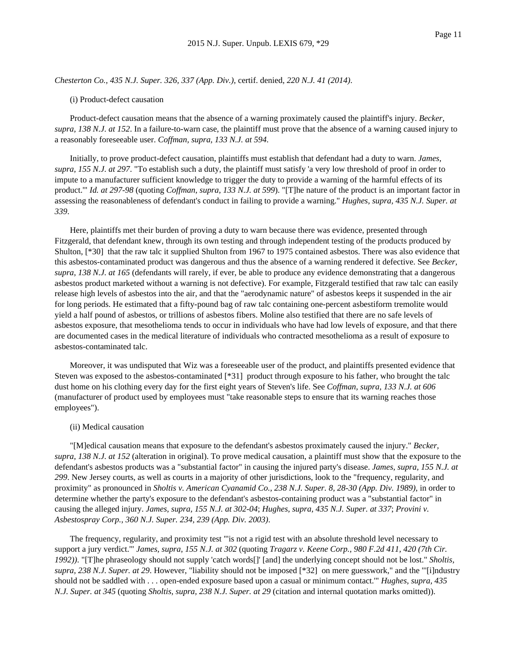*Chesterton Co., 435 N.J. Super. 326, 337 (App. Div.)*, certif. denied, *220 N.J. 41 (2014)*.

## (i) Product-defect causation

Product-defect causation means that the absence of a warning proximately caused the plaintiff's injury. *Becker, supra, 138 N.J. at 152*. In a failure-to-warn case, the plaintiff must prove that the absence of a warning caused injury to a reasonably foreseeable user. *Coffman, supra, 133 N.J. at 594*.

Initially, to prove product-defect causation, plaintiffs must establish that defendant had a duty to warn. *James, supra, 155 N.J. at 297*. "To establish such a duty, the plaintiff must satisfy 'a very low threshold of proof in order to impute to a manufacturer sufficient knowledge to trigger the duty to provide a warning of the harmful effects of its product.'" *Id. at 297-98* (quoting *Coffman, supra, 133 N.J. at 599*). "[T]he nature of the product is an important factor in assessing the reasonableness of defendant's conduct in failing to provide a warning." *Hughes, supra, 435 N.J. Super. at 339*.

Here, plaintiffs met their burden of proving a duty to warn because there was evidence, presented through Fitzgerald, that defendant knew, through its own testing and through independent testing of the products produced by Shulton, [\*30] that the raw talc it supplied Shulton from 1967 to 1975 contained asbestos. There was also evidence that this asbestos-contaminated product was dangerous and thus the absence of a warning rendered it defective. See *Becker, supra, 138 N.J. at 165* (defendants will rarely, if ever, be able to produce any evidence demonstrating that a dangerous asbestos product marketed without a warning is not defective). For example, Fitzgerald testified that raw talc can easily release high levels of asbestos into the air, and that the "aerodynamic nature" of asbestos keeps it suspended in the air for long periods. He estimated that a fifty-pound bag of raw talc containing one-percent asbestiform tremolite would yield a half pound of asbestos, or trillions of asbestos fibers. Moline also testified that there are no safe levels of asbestos exposure, that mesothelioma tends to occur in individuals who have had low levels of exposure, and that there are documented cases in the medical literature of individuals who contracted mesothelioma as a result of exposure to asbestos-contaminated talc.

Moreover, it was undisputed that Wiz was a foreseeable user of the product, and plaintiffs presented evidence that Steven was exposed to the asbestos-contaminated [\*31] product through exposure to his father, who brought the talc dust home on his clothing every day for the first eight years of Steven's life. See *Coffman, supra, 133 N.J. at 606* (manufacturer of product used by employees must "take reasonable steps to ensure that its warning reaches those employees").

## (ii) Medical causation

"[M]edical causation means that exposure to the defendant's asbestos proximately caused the injury." *Becker, supra, 138 N.J. at 152* (alteration in original). To prove medical causation, a plaintiff must show that the exposure to the defendant's asbestos products was a "substantial factor" in causing the injured party's disease. *James, supra, 155 N.J. at 299*. New Jersey courts, as well as courts in a majority of other jurisdictions, look to the "frequency, regularity, and proximity" as pronounced in *Sholtis v. American Cyanamid Co., 238 N.J. Super. 8, 28-30 (App. Div. 1989)*, in order to determine whether the party's exposure to the defendant's asbestos-containing product was a "substantial factor" in causing the alleged injury. *James, supra, 155 N.J. at 302-04*; *Hughes, supra, 435 N.J. Super. at 337*; *Provini v. Asbestospray Corp., 360 N.J. Super. 234, 239 (App. Div. 2003)*.

The frequency, regularity, and proximity test "'is not a rigid test with an absolute threshold level necessary to support a jury verdict.'" *James, supra, 155 N.J. at 302* (quoting *Tragarz v. Keene Corp., 980 F.2d 411, 420 (7th Cir. 1992))*. "[T]he phraseology should not supply 'catch words[]' [and] the underlying concept should not be lost." *Sholtis, supra, 238 N.J. Super. at 29*. However, "liability should not be imposed [\*32] on mere guesswork," and the "'[i]ndustry should not be saddled with . . . open-ended exposure based upon a casual or minimum contact.'" *Hughes, supra, 435 N.J. Super. at 345* (quoting *Sholtis, supra, 238 N.J. Super. at 29* (citation and internal quotation marks omitted)).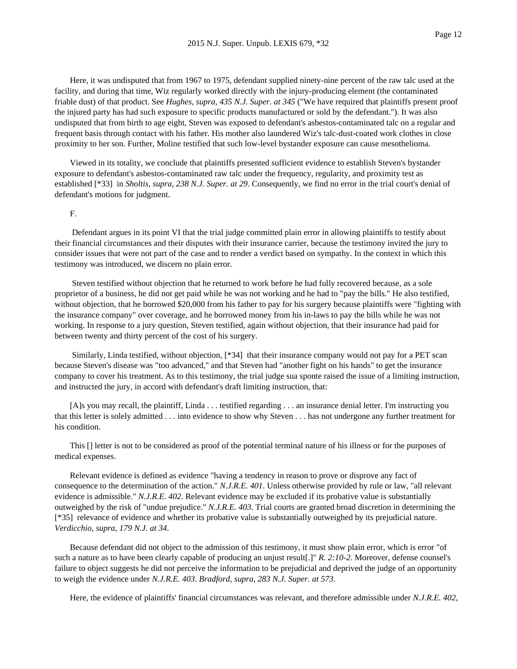Here, it was undisputed that from 1967 to 1975, defendant supplied ninety-nine percent of the raw talc used at the facility, and during that time, Wiz regularly worked directly with the injury-producing element (the contaminated friable dust) of that product. See *Hughes, supra, 435 N.J. Super. at 345* ("We have required that plaintiffs present proof the injured party has had such exposure to specific products manufactured or sold by the defendant."). It was also undisputed that from birth to age eight, Steven was exposed to defendant's asbestos-contaminated talc on a regular and frequent basis through contact with his father. His mother also laundered Wiz's talc-dust-coated work clothes in close proximity to her son. Further, Moline testified that such low-level bystander exposure can cause mesothelioma.

Viewed in its totality, we conclude that plaintiffs presented sufficient evidence to establish Steven's bystander exposure to defendant's asbestos-contaminated raw talc under the frequency, regularity, and proximity test as established [\*33] in *Sholtis, supra, 238 N.J. Super. at 29*. Consequently, we find no error in the trial court's denial of defendant's motions for judgment.

#### F.

Defendant argues in its point VI that the trial judge committed plain error in allowing plaintiffs to testify about their financial circumstances and their disputes with their insurance carrier, because the testimony invited the jury to consider issues that were not part of the case and to render a verdict based on sympathy. In the context in which this testimony was introduced, we discern no plain error.

Steven testified without objection that he returned to work before he had fully recovered because, as a sole proprietor of a business, he did not get paid while he was not working and he had to "pay the bills." He also testified, without objection, that he borrowed \$20,000 from his father to pay for his surgery because plaintiffs were "fighting with the insurance company" over coverage, and he borrowed money from his in-laws to pay the bills while he was not working. In response to a jury question, Steven testified, again without objection, that their insurance had paid for between twenty and thirty percent of the cost of his surgery.

Similarly, Linda testified, without objection, [\*34] that their insurance company would not pay for a PET scan because Steven's disease was "too advanced," and that Steven had "another fight on his hands" to get the insurance company to cover his treatment. As to this testimony, the trial judge sua sponte raised the issue of a limiting instruction, and instructed the jury, in accord with defendant's draft limiting instruction, that:

[A]s you may recall, the plaintiff, Linda . . . testified regarding . . . an insurance denial letter. I'm instructing you that this letter is solely admitted . . . into evidence to show why Steven . . . has not undergone any further treatment for his condition.

This [] letter is not to be considered as proof of the potential terminal nature of his illness or for the purposes of medical expenses.

Relevant evidence is defined as evidence "having a tendency in reason to prove or disprove any fact of consequence to the determination of the action." *N.J.R.E. 401*. Unless otherwise provided by rule or law, "all relevant evidence is admissible." *N.J.R.E. 402*. Relevant evidence may be excluded if its probative value is substantially outweighed by the risk of "undue prejudice." *N.J.R.E. 403*. Trial courts are granted broad discretion in determining the [\*35] relevance of evidence and whether its probative value is substantially outweighed by its prejudicial nature. *Verdicchio, supra, 179 N.J. at 34*.

Because defendant did not object to the admission of this testimony, it must show plain error, which is error "of such a nature as to have been clearly capable of producing an unjust result[.]" *R. 2:10-2*. Moreover, defense counsel's failure to object suggests he did not perceive the information to be prejudicial and deprived the judge of an opportunity to weigh the evidence under *N.J.R.E. 403*. *Bradford, supra, 283 N.J. Super. at 573*.

Here, the evidence of plaintiffs' financial circumstances was relevant, and therefore admissible under *N.J.R.E. 402*,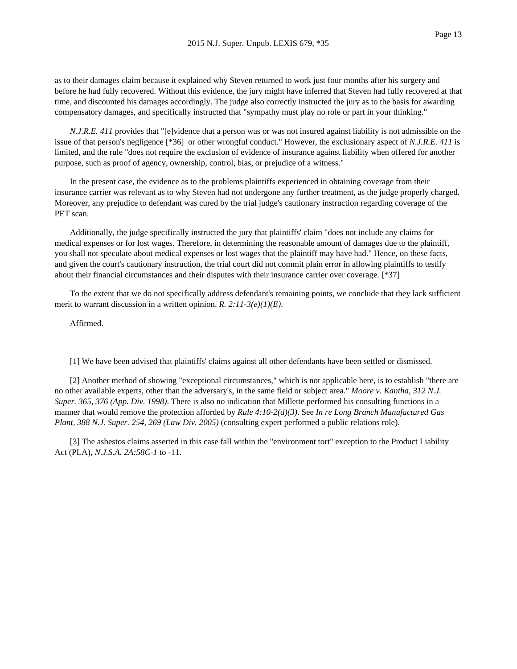as to their damages claim because it explained why Steven returned to work just four months after his surgery and before he had fully recovered. Without this evidence, the jury might have inferred that Steven had fully recovered at that time, and discounted his damages accordingly. The judge also correctly instructed the jury as to the basis for awarding compensatory damages, and specifically instructed that "sympathy must play no role or part in your thinking."

*N.J.R.E. 411* provides that "[e]vidence that a person was or was not insured against liability is not admissible on the issue of that person's negligence [\*36] or other wrongful conduct." However, the exclusionary aspect of *N.J.R.E. 411* is limited, and the rule "does not require the exclusion of evidence of insurance against liability when offered for another purpose, such as proof of agency, ownership, control, bias, or prejudice of a witness."

In the present case, the evidence as to the problems plaintiffs experienced in obtaining coverage from their insurance carrier was relevant as to why Steven had not undergone any further treatment, as the judge properly charged. Moreover, any prejudice to defendant was cured by the trial judge's cautionary instruction regarding coverage of the PET scan.

Additionally, the judge specifically instructed the jury that plaintiffs' claim "does not include any claims for medical expenses or for lost wages. Therefore, in determining the reasonable amount of damages due to the plaintiff, you shall not speculate about medical expenses or lost wages that the plaintiff may have had." Hence, on these facts, and given the court's cautionary instruction, the trial court did not commit plain error in allowing plaintiffs to testify about their financial circumstances and their disputes with their insurance carrier over coverage. [\*37]

To the extent that we do not specifically address defendant's remaining points, we conclude that they lack sufficient merit to warrant discussion in a written opinion. *R. 2:11-3(e)(1)(E)*.

Affirmed.

[1] We have been advised that plaintiffs' claims against all other defendants have been settled or dismissed.

[2] Another method of showing "exceptional circumstances," which is not applicable here, is to establish "there are no other available experts, other than the adversary's, in the same field or subject area." *Moore v. Kantha, 312 N.J. Super. 365, 376 (App. Div. 1998)*. There is also no indication that Millette performed his consulting functions in a manner that would remove the protection afforded by *Rule 4:10-2(d)(3)*. See *In re Long Branch Manufactured Gas Plant, 388 N.J. Super. 254, 269 (Law Div. 2005)* (consulting expert performed a public relations role).

[3] The asbestos claims asserted in this case fall within the "environment tort" exception to the Product Liability Act (PLA), *N.J.S.A. 2A:58C-1* to -11.